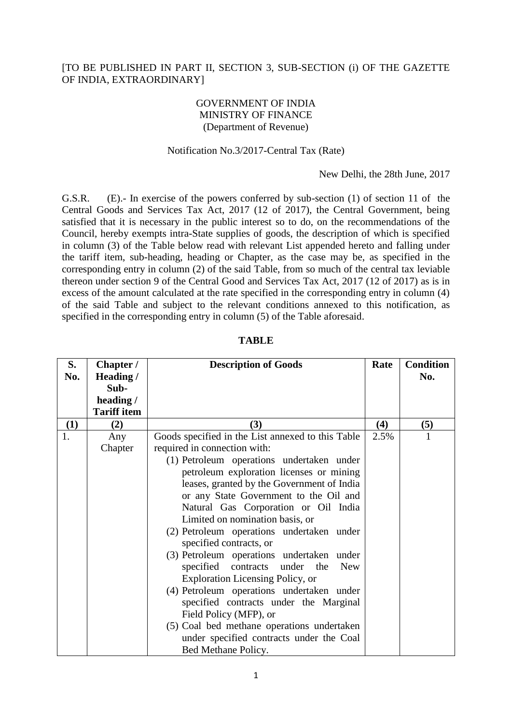### [TO BE PUBLISHED IN PART II, SECTION 3, SUB-SECTION (i) OF THE GAZETTE OF INDIA, EXTRAORDINARY]

## GOVERNMENT OF INDIA MINISTRY OF FINANCE (Department of Revenue)

#### Notification No.3/2017-Central Tax (Rate)

New Delhi, the 28th June, 2017

G.S.R. (E).- In exercise of the powers conferred by sub-section (1) of section 11 of the Central Goods and Services Tax Act, 2017 (12 of 2017), the Central Government, being satisfied that it is necessary in the public interest so to do, on the recommendations of the Council, hereby exempts intra-State supplies of goods, the description of which is specified in column (3) of the Table below read with relevant List appended hereto and falling under the tariff item, sub-heading, heading or Chapter, as the case may be, as specified in the corresponding entry in column (2) of the said Table, from so much of the central tax leviable thereon under section 9 of the Central Good and Services Tax Act, 2017 (12 of 2017) as is in excess of the amount calculated at the rate specified in the corresponding entry in column (4) of the said Table and subject to the relevant conditions annexed to this notification, as specified in the corresponding entry in column (5) of the Table aforesaid.

| S.  | Chapter /          | <b>Description of Goods</b>                                          | Rate | <b>Condition</b> |
|-----|--------------------|----------------------------------------------------------------------|------|------------------|
| No. | Heading /          |                                                                      |      | No.              |
|     | Sub-               |                                                                      |      |                  |
|     | heading /          |                                                                      |      |                  |
|     | <b>Tariff item</b> |                                                                      |      |                  |
| (1) | (2)                | (3)                                                                  | (4)  | (5)              |
| 1.  | Any                | Goods specified in the List annexed to this Table                    | 2.5% |                  |
|     | Chapter            | required in connection with:                                         |      |                  |
|     |                    | (1) Petroleum operations undertaken under                            |      |                  |
|     |                    | petroleum exploration licenses or mining                             |      |                  |
|     |                    | leases, granted by the Government of India                           |      |                  |
|     |                    | or any State Government to the Oil and                               |      |                  |
|     |                    | Natural Gas Corporation or Oil India                                 |      |                  |
|     |                    | Limited on nomination basis, or                                      |      |                  |
|     |                    | (2) Petroleum operations undertaken under<br>specified contracts, or |      |                  |
|     |                    | (3) Petroleum operations undertaken under                            |      |                  |
|     |                    | specified contracts under the<br><b>New</b>                          |      |                  |
|     |                    | <b>Exploration Licensing Policy, or</b>                              |      |                  |
|     |                    | (4) Petroleum operations undertaken under                            |      |                  |
|     |                    | specified contracts under the Marginal                               |      |                  |
|     |                    | Field Policy (MFP), or                                               |      |                  |
|     |                    | (5) Coal bed methane operations undertaken                           |      |                  |
|     |                    | under specified contracts under the Coal                             |      |                  |
|     |                    | Bed Methane Policy.                                                  |      |                  |

**TABLE**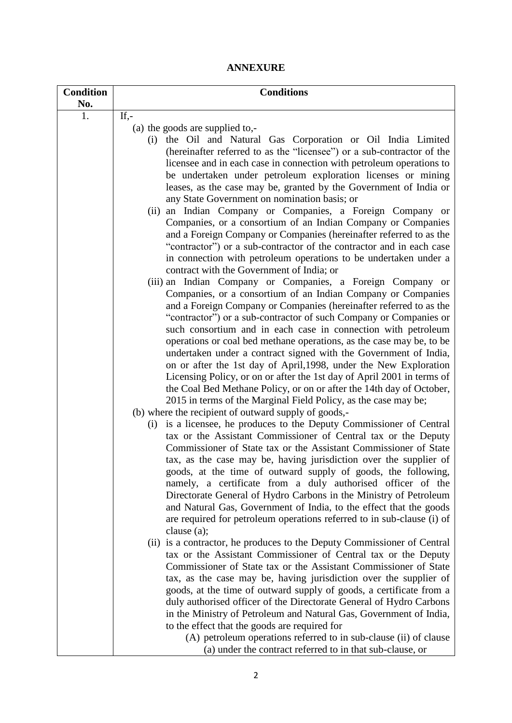# **ANNEXURE**

| <b>Condition</b> | <b>Conditions</b>                                                                                                                         |
|------------------|-------------------------------------------------------------------------------------------------------------------------------------------|
| No.              |                                                                                                                                           |
| 1.               | If, $-$                                                                                                                                   |
|                  | (a) the goods are supplied to,-<br>the Oil and Natural Gas Corporation or Oil India Limited<br>(i)                                        |
|                  | (hereinafter referred to as the "licensee") or a sub-contractor of the                                                                    |
|                  | licensee and in each case in connection with petroleum operations to                                                                      |
|                  | be undertaken under petroleum exploration licenses or mining                                                                              |
|                  | leases, as the case may be, granted by the Government of India or                                                                         |
|                  | any State Government on nomination basis; or                                                                                              |
|                  | (ii) an Indian Company or Companies, a Foreign Company or                                                                                 |
|                  | Companies, or a consortium of an Indian Company or Companies                                                                              |
|                  | and a Foreign Company or Companies (hereinafter referred to as the                                                                        |
|                  | "contractor") or a sub-contractor of the contractor and in each case                                                                      |
|                  | in connection with petroleum operations to be undertaken under a                                                                          |
|                  | contract with the Government of India; or                                                                                                 |
|                  | (iii) an Indian Company or Companies, a Foreign Company or                                                                                |
|                  | Companies, or a consortium of an Indian Company or Companies                                                                              |
|                  | and a Foreign Company or Companies (hereinafter referred to as the                                                                        |
|                  | "contractor") or a sub-contractor of such Company or Companies or                                                                         |
|                  | such consortium and in each case in connection with petroleum                                                                             |
|                  | operations or coal bed methane operations, as the case may be, to be                                                                      |
|                  | undertaken under a contract signed with the Government of India,                                                                          |
|                  | on or after the 1st day of April, 1998, under the New Exploration                                                                         |
|                  | Licensing Policy, or on or after the 1st day of April 2001 in terms of                                                                    |
|                  | the Coal Bed Methane Policy, or on or after the 14th day of October,                                                                      |
|                  | 2015 in terms of the Marginal Field Policy, as the case may be;                                                                           |
|                  | (b) where the recipient of outward supply of goods,-                                                                                      |
|                  | is a licensee, he produces to the Deputy Commissioner of Central<br>(i)                                                                   |
|                  | tax or the Assistant Commissioner of Central tax or the Deputy                                                                            |
|                  | Commissioner of State tax or the Assistant Commissioner of State                                                                          |
|                  | tax, as the case may be, having jurisdiction over the supplier of                                                                         |
|                  | goods, at the time of outward supply of goods, the following,                                                                             |
|                  | namely, a certificate from a duly authorised officer of the                                                                               |
|                  | Directorate General of Hydro Carbons in the Ministry of Petroleum                                                                         |
|                  | and Natural Gas, Government of India, to the effect that the goods                                                                        |
|                  | are required for petroleum operations referred to in sub-clause (i) of                                                                    |
|                  | clause $(a)$ ;                                                                                                                            |
|                  | (ii) is a contractor, he produces to the Deputy Commissioner of Central<br>tax or the Assistant Commissioner of Central tax or the Deputy |
|                  | Commissioner of State tax or the Assistant Commissioner of State                                                                          |
|                  | tax, as the case may be, having jurisdiction over the supplier of                                                                         |
|                  | goods, at the time of outward supply of goods, a certificate from a                                                                       |
|                  | duly authorised officer of the Directorate General of Hydro Carbons                                                                       |
|                  | in the Ministry of Petroleum and Natural Gas, Government of India,                                                                        |
|                  | to the effect that the goods are required for                                                                                             |
|                  | (A) petroleum operations referred to in sub-clause (ii) of clause                                                                         |
|                  | (a) under the contract referred to in that sub-clause, or                                                                                 |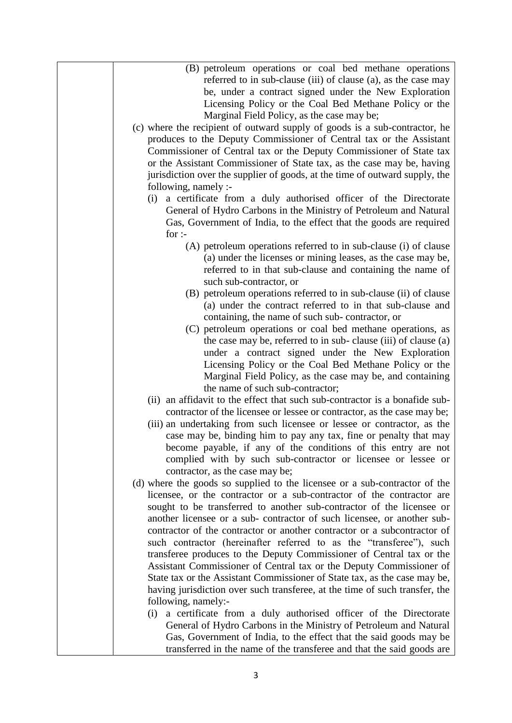| (B) petroleum operations or coal bed methane operations                     |
|-----------------------------------------------------------------------------|
|                                                                             |
| referred to in sub-clause (iii) of clause (a), as the case may              |
| be, under a contract signed under the New Exploration                       |
| Licensing Policy or the Coal Bed Methane Policy or the                      |
| Marginal Field Policy, as the case may be;                                  |
| (c) where the recipient of outward supply of goods is a sub-contractor, he  |
| produces to the Deputy Commissioner of Central tax or the Assistant         |
| Commissioner of Central tax or the Deputy Commissioner of State tax         |
|                                                                             |
| or the Assistant Commissioner of State tax, as the case may be, having      |
| jurisdiction over the supplier of goods, at the time of outward supply, the |
| following, namely :-                                                        |
| a certificate from a duly authorised officer of the Directorate<br>(i)      |
| General of Hydro Carbons in the Ministry of Petroleum and Natural           |
| Gas, Government of India, to the effect that the goods are required         |
| for $:$                                                                     |
| (A) petroleum operations referred to in sub-clause (i) of clause            |
| (a) under the licenses or mining leases, as the case may be,                |
| referred to in that sub-clause and containing the name of                   |
|                                                                             |
| such sub-contractor, or                                                     |
| (B) petroleum operations referred to in sub-clause (ii) of clause           |
| (a) under the contract referred to in that sub-clause and                   |
| containing, the name of such sub-contractor, or                             |
| (C) petroleum operations or coal bed methane operations, as                 |
| the case may be, referred to in sub-clause (iii) of clause (a)              |
| under a contract signed under the New Exploration                           |
| Licensing Policy or the Coal Bed Methane Policy or the                      |
| Marginal Field Policy, as the case may be, and containing                   |
| the name of such sub-contractor;                                            |
| (ii) an affidavit to the effect that such sub-contractor is a bonafide sub- |
|                                                                             |
| contractor of the licensee or lessee or contractor, as the case may be;     |
| (iii) an undertaking from such licensee or lessee or contractor, as the     |
| case may be, binding him to pay any tax, fine or penalty that may           |
| become payable, if any of the conditions of this entry are not              |
| complied with by such sub-contractor or licensee or lessee or               |
| contractor, as the case may be;                                             |
| (d) where the goods so supplied to the licensee or a sub-contractor of the  |
| licensee, or the contractor or a sub-contractor of the contractor are       |
| sought to be transferred to another sub-contractor of the licensee or       |
| another licensee or a sub-contractor of such licensee, or another sub-      |
| contractor of the contractor or another contractor or a subcontractor of    |
| such contractor (hereinafter referred to as the "transferee"), such         |
|                                                                             |
| transferee produces to the Deputy Commissioner of Central tax or the        |
| Assistant Commissioner of Central tax or the Deputy Commissioner of         |
| State tax or the Assistant Commissioner of State tax, as the case may be,   |
| having jurisdiction over such transferee, at the time of such transfer, the |
| following, namely:-                                                         |
| a certificate from a duly authorised officer of the Directorate<br>(i)      |
| General of Hydro Carbons in the Ministry of Petroleum and Natural           |
| Gas, Government of India, to the effect that the said goods may be          |
| transferred in the name of the transferee and that the said goods are       |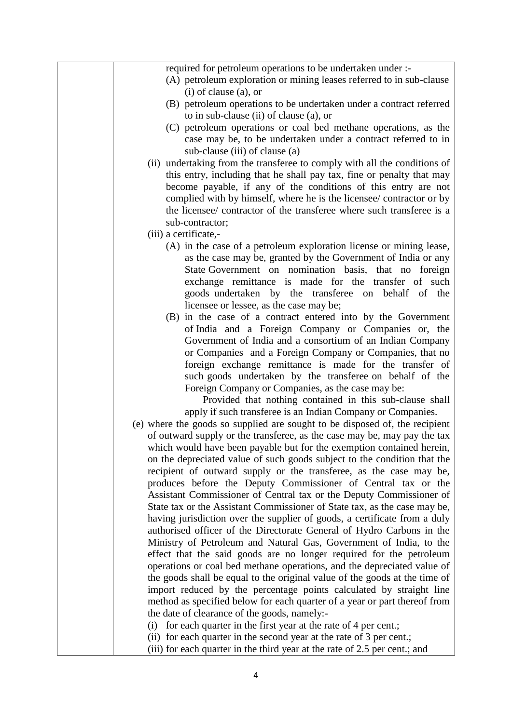| required for petroleum operations to be undertaken under :-                 |
|-----------------------------------------------------------------------------|
| (A) petroleum exploration or mining leases referred to in sub-clause        |
| $(i)$ of clause $(a)$ , or                                                  |
| (B) petroleum operations to be undertaken under a contract referred         |
| to in sub-clause (ii) of clause (a), or                                     |
| (C) petroleum operations or coal bed methane operations, as the             |
| case may be, to be undertaken under a contract referred to in               |
| sub-clause (iii) of clause (a)                                              |
| (ii) undertaking from the transferee to comply with all the conditions of   |
| this entry, including that he shall pay tax, fine or penalty that may       |
| become payable, if any of the conditions of this entry are not              |
| complied with by himself, where he is the licensee/ contractor or by        |
| the licensee/ contractor of the transferee where such transferee is a       |
| sub-contractor;                                                             |
| (iii) a certificate,-                                                       |
| (A) in the case of a petroleum exploration license or mining lease,         |
| as the case may be, granted by the Government of India or any               |
| State Government on nomination basis, that no foreign                       |
| exchange remittance is made for the transfer of such                        |
| goods undertaken by the transferee on behalf of the                         |
| licensee or lessee, as the case may be;                                     |
| (B) in the case of a contract entered into by the Government                |
| of India and a Foreign Company or Companies or, the                         |
| Government of India and a consortium of an Indian Company                   |
| or Companies and a Foreign Company or Companies, that no                    |
| foreign exchange remittance is made for the transfer of                     |
| such goods undertaken by the transferee on behalf of the                    |
| Foreign Company or Companies, as the case may be:                           |
| Provided that nothing contained in this sub-clause shall                    |
| apply if such transferee is an Indian Company or Companies.                 |
| (e) where the goods so supplied are sought to be disposed of, the recipient |
| of outward supply or the transferee, as the case may be, may pay the tax    |
| which would have been payable but for the exemption contained herein,       |
| on the depreciated value of such goods subject to the condition that the    |
| recipient of outward supply or the transferee, as the case may be,          |
| produces before the Deputy Commissioner of Central tax or the               |
| Assistant Commissioner of Central tax or the Deputy Commissioner of         |
| State tax or the Assistant Commissioner of State tax, as the case may be,   |
| having jurisdiction over the supplier of goods, a certificate from a duly   |
| authorised officer of the Directorate General of Hydro Carbons in the       |
| Ministry of Petroleum and Natural Gas, Government of India, to the          |
| effect that the said goods are no longer required for the petroleum         |
| operations or coal bed methane operations, and the depreciated value of     |
| the goods shall be equal to the original value of the goods at the time of  |
| import reduced by the percentage points calculated by straight line         |
| method as specified below for each quarter of a year or part thereof from   |
| the date of clearance of the goods, namely:-                                |
| for each quarter in the first year at the rate of 4 per cent.;<br>(i)       |
| (ii) for each quarter in the second year at the rate of 3 per cent.;        |
| (iii) for each quarter in the third year at the rate of 2.5 per cent.; and  |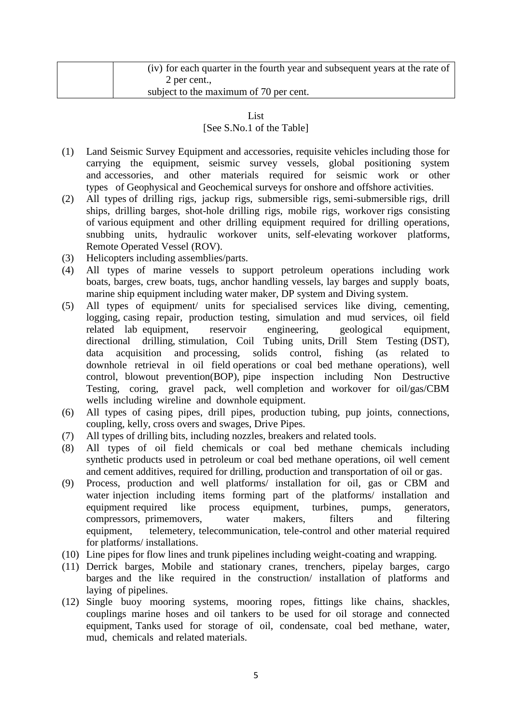| (iv) for each quarter in the fourth year and subsequent years at the rate of |
|------------------------------------------------------------------------------|
| 2 per cent.                                                                  |
| subject to the maximum of 70 per cent.                                       |

## **List** [See S.No.1 of the Table]

- (1) Land Seismic Survey Equipment and accessories, requisite vehicles including those for carrying the equipment, seismic survey vessels, global positioning system and accessories, and other materials required for seismic work or other types of Geophysical and Geochemical surveys for onshore and offshore activities.
- (2) All types of drilling rigs, jackup rigs, submersible rigs, semi-submersible rigs, drill ships, drilling barges, shot-hole drilling rigs, mobile rigs, workover rigs consisting of various equipment and other drilling equipment required for drilling operations, snubbing units, hydraulic workover units, self-elevating workover platforms, Remote Operated Vessel (ROV).
- (3) Helicopters including assemblies/parts.
- (4) All types of marine vessels to support petroleum operations including work boats, barges, crew boats, tugs, anchor handling vessels, lay barges and supply boats, marine ship equipment including water maker, DP system and Diving system.
- (5) All types of equipment/ units for specialised services like diving, cementing, logging, casing repair, production testing, simulation and mud services, oil field related lab equipment, reservoir engineering, geological equipment, directional drilling, stimulation, Coil Tubing units, Drill Stem Testing (DST), data acquisition and processing, solids control, fishing (as related to downhole retrieval in oil field operations or coal bed methane operations), well control, blowout prevention(BOP), pipe inspection including Non Destructive Testing, coring, gravel pack, well completion and workover for oil/gas/CBM wells including wireline and downhole equipment.
- (6) All types of casing pipes, drill pipes, production tubing, pup joints, connections, coupling, kelly, cross overs and swages, Drive Pipes.
- (7) All types of drilling bits, including nozzles, breakers and related tools.
- (8) All types of oil field chemicals or coal bed methane chemicals including synthetic products used in petroleum or coal bed methane operations, oil well cement and cement additives, required for drilling, production and transportation of oil or gas.
- (9) Process, production and well platforms/ installation for oil, gas or CBM and water injection including items forming part of the platforms/ installation and equipment required like process equipment, turbines, pumps, generators, compressors, primemovers, water makers, filters and filtering equipment, telemetery, telecommunication, tele-control and other material required for platforms/ installations.
- (10) Line pipes for flow lines and trunk pipelines including weight-coating and wrapping.
- (11) Derrick barges, Mobile and stationary cranes, trenchers, pipelay barges, cargo barges and the like required in the construction/ installation of platforms and laying of pipelines.
- (12) Single buoy mooring systems, mooring ropes, fittings like chains, shackles, couplings marine hoses and oil tankers to be used for oil storage and connected equipment, Tanks used for storage of oil, condensate, coal bed methane, water, mud, chemicals and related materials.